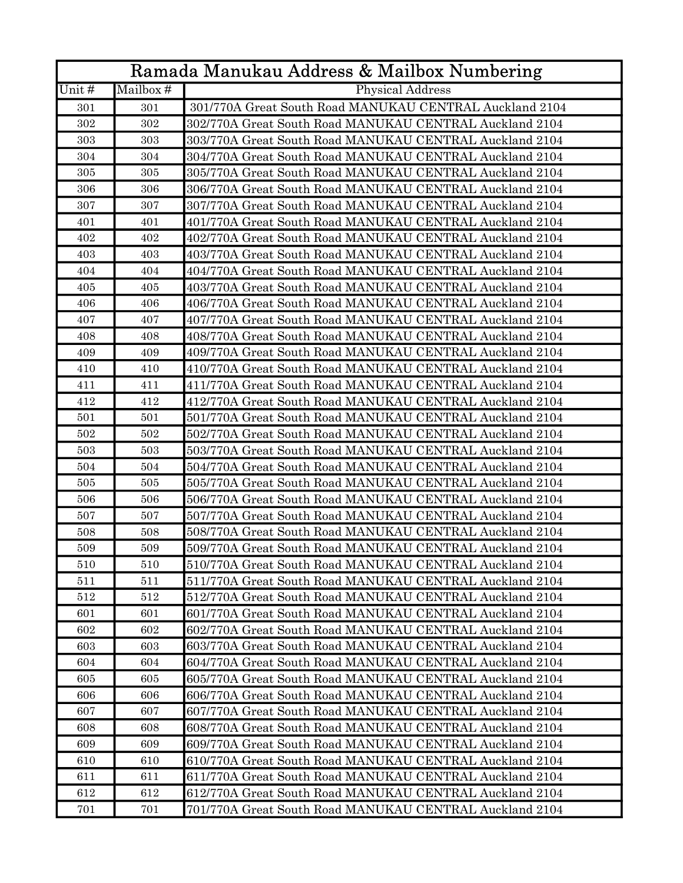| Ramada Manukau Address & Mailbox Numbering |           |                                                         |  |
|--------------------------------------------|-----------|---------------------------------------------------------|--|
| Unit#                                      | Mailbox # | Physical Address                                        |  |
| 301                                        | 301       | 301/770A Great South Road MANUKAU CENTRAL Auckland 2104 |  |
| 302                                        | 302       | 302/770A Great South Road MANUKAU CENTRAL Auckland 2104 |  |
| 303                                        | 303       | 303/770A Great South Road MANUKAU CENTRAL Auckland 2104 |  |
| 304                                        | 304       | 304/770A Great South Road MANUKAU CENTRAL Auckland 2104 |  |
| 305                                        | 305       | 305/770A Great South Road MANUKAU CENTRAL Auckland 2104 |  |
| 306                                        | 306       | 306/770A Great South Road MANUKAU CENTRAL Auckland 2104 |  |
| 307                                        | 307       | 307/770A Great South Road MANUKAU CENTRAL Auckland 2104 |  |
| 401                                        | 401       | 401/770A Great South Road MANUKAU CENTRAL Auckland 2104 |  |
| 402                                        | 402       | 402/770A Great South Road MANUKAU CENTRAL Auckland 2104 |  |
| 403                                        | 403       | 403/770A Great South Road MANUKAU CENTRAL Auckland 2104 |  |
| 404                                        | 404       | 404/770A Great South Road MANUKAU CENTRAL Auckland 2104 |  |
| 405                                        | 405       | 403/770A Great South Road MANUKAU CENTRAL Auckland 2104 |  |
| 406                                        | 406       | 406/770A Great South Road MANUKAU CENTRAL Auckland 2104 |  |
| 407                                        | 407       | 407/770A Great South Road MANUKAU CENTRAL Auckland 2104 |  |
| 408                                        | 408       | 408/770A Great South Road MANUKAU CENTRAL Auckland 2104 |  |
| 409                                        | 409       | 409/770A Great South Road MANUKAU CENTRAL Auckland 2104 |  |
| 410                                        | 410       | 410/770A Great South Road MANUKAU CENTRAL Auckland 2104 |  |
| 411                                        | 411       | 411/770A Great South Road MANUKAU CENTRAL Auckland 2104 |  |
| 412                                        | 412       | 412/770A Great South Road MANUKAU CENTRAL Auckland 2104 |  |
| 501                                        | 501       | 501/770A Great South Road MANUKAU CENTRAL Auckland 2104 |  |
| 502                                        | 502       | 502/770A Great South Road MANUKAU CENTRAL Auckland 2104 |  |
| 503                                        | 503       | 503/770A Great South Road MANUKAU CENTRAL Auckland 2104 |  |
| 504                                        | 504       | 504/770A Great South Road MANUKAU CENTRAL Auckland 2104 |  |
| 505                                        | 505       | 505/770A Great South Road MANUKAU CENTRAL Auckland 2104 |  |
| 506                                        | 506       | 506/770A Great South Road MANUKAU CENTRAL Auckland 2104 |  |
| 507                                        | 507       | 507/770A Great South Road MANUKAU CENTRAL Auckland 2104 |  |
| 508                                        | 508       | 508/770A Great South Road MANUKAU CENTRAL Auckland 2104 |  |
| 509                                        | 509       | 509/770A Great South Road MANUKAU CENTRAL Auckland 2104 |  |
| 510                                        | 510       | 510/770A Great South Road MANUKAU CENTRAL Auckland 2104 |  |
| 511                                        | 511       | 511/770A Great South Road MANUKAU CENTRAL Auckland 2104 |  |
| 512                                        | 512       | 512/770A Great South Road MANUKAU CENTRAL Auckland 2104 |  |
| 601                                        | 601       | 601/770A Great South Road MANUKAU CENTRAL Auckland 2104 |  |
| 602                                        | 602       | 602/770A Great South Road MANUKAU CENTRAL Auckland 2104 |  |
| 603                                        | 603       | 603/770A Great South Road MANUKAU CENTRAL Auckland 2104 |  |
| 604                                        | 604       | 604/770A Great South Road MANUKAU CENTRAL Auckland 2104 |  |
| 605                                        | 605       | 605/770A Great South Road MANUKAU CENTRAL Auckland 2104 |  |
| 606                                        | 606       | 606/770A Great South Road MANUKAU CENTRAL Auckland 2104 |  |
| 607                                        | 607       | 607/770A Great South Road MANUKAU CENTRAL Auckland 2104 |  |
| 608                                        | 608       | 608/770A Great South Road MANUKAU CENTRAL Auckland 2104 |  |
| 609                                        | 609       | 609/770A Great South Road MANUKAU CENTRAL Auckland 2104 |  |
| 610                                        | 610       | 610/770A Great South Road MANUKAU CENTRAL Auckland 2104 |  |
| 611                                        | 611       | 611/770A Great South Road MANUKAU CENTRAL Auckland 2104 |  |
| 612                                        | 612       | 612/770A Great South Road MANUKAU CENTRAL Auckland 2104 |  |
| 701                                        | 701       | 701/770A Great South Road MANUKAU CENTRAL Auckland 2104 |  |